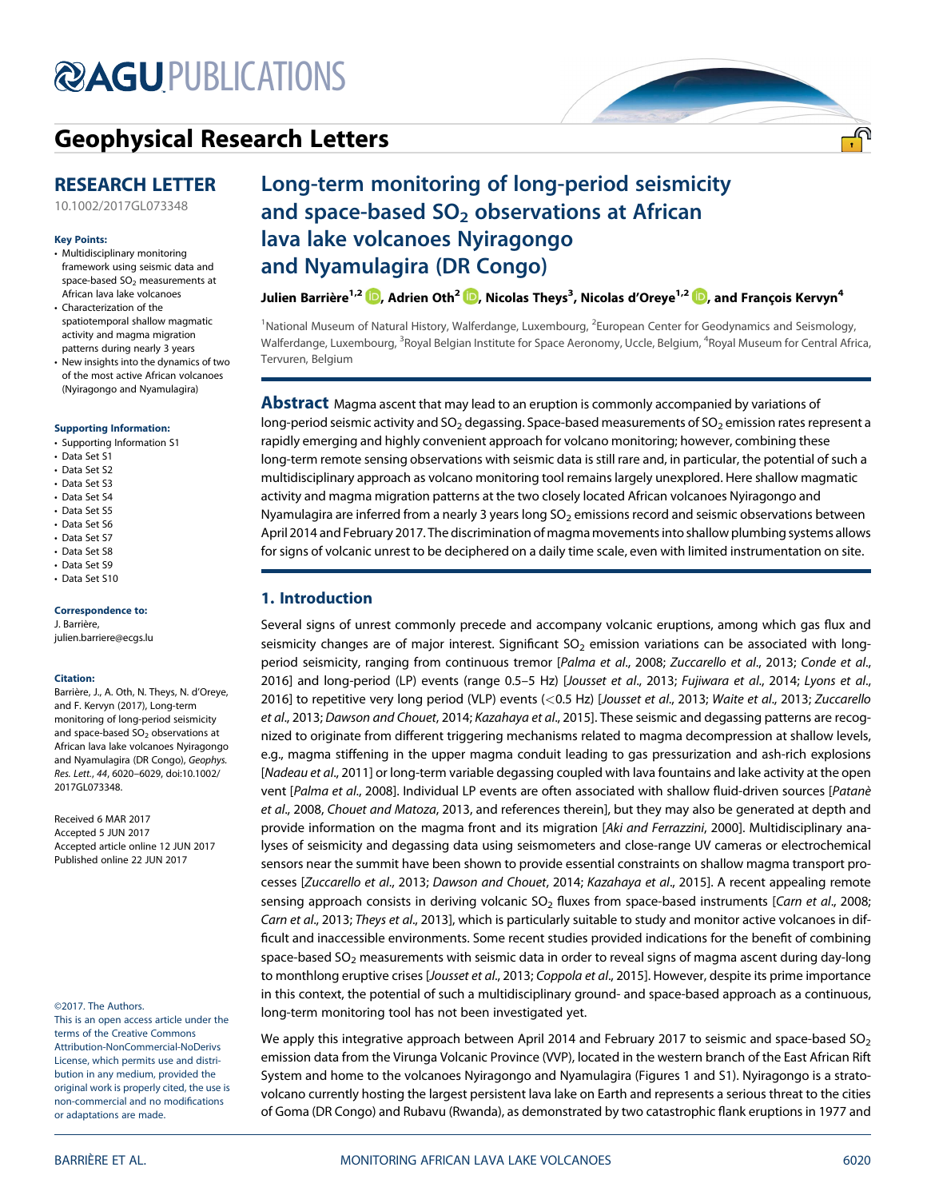# **@AGU[PUBLICATIONS](http://publications.agu.org/journals/)**

# [Geophysical Research Letters](http://onlinelibrary.wiley.com/journal/10.1002/(ISSN)1944-8007)

# RESEARCH LETTER

[10.1002/2017GL073348](http://dx.doi.org/10.1002/2017GL073348)

#### Key Points:

- Multidisciplinary monitoring framework using seismic data and space-based  $SO<sub>2</sub>$  measurements at African lava lake volcanoes
- Characterization of the spatiotemporal shallow magmatic activity and magma migration patterns during nearly 3 years
- New insights into the dynamics of two of the most active African volcanoes (Nyiragongo and Nyamulagira)

#### [Supporting Information:](http://dx.doi.org/10.1002/2017GL073348)

- [•](http://dx.doi.org/10.1002/2017GL073348) [Supporting Information S1](http://dx.doi.org/10.1002/2017GL073348)
- [•](http://dx.doi.org/10.1002/2017GL073348) [Data Set S1](http://dx.doi.org/10.1002/2017GL073348)
- [•](http://dx.doi.org/10.1002/2017GL073348) [Data Set S2](http://dx.doi.org/10.1002/2017GL073348)
- [•](http://dx.doi.org/10.1002/2017GL073348) [Data Set S3](http://dx.doi.org/10.1002/2017GL073348)
- [•](http://dx.doi.org/10.1002/2017GL073348) [Data Set S4](http://dx.doi.org/10.1002/2017GL073348)
- [•](http://dx.doi.org/10.1002/2017GL073348) [Data Set S5](http://dx.doi.org/10.1002/2017GL073348)
- [•](http://dx.doi.org/10.1002/2017GL073348) [Data Set S6](http://dx.doi.org/10.1002/2017GL073348)
- [•](http://dx.doi.org/10.1002/2017GL073348) [Data Set S7](http://dx.doi.org/10.1002/2017GL073348)
- [•](http://dx.doi.org/10.1002/2017GL073348) [Data Set S8](http://dx.doi.org/10.1002/2017GL073348)
- [•](http://dx.doi.org/10.1002/2017GL073348) [Data Set S9](http://dx.doi.org/10.1002/2017GL073348) [•](http://dx.doi.org/10.1002/2017GL073348) [Data Set S10](http://dx.doi.org/10.1002/2017GL073348)

#### Correspondence to:

J. Barrière, [julien.barriere@ecgs.lu](mailto:julien.barriere@ecgs.lu)

#### Citation:

Barrière, J., A. Oth, N. Theys, N. d'Oreye, and F. Kervyn (2017), Long-term monitoring of long-period seismicity and space-based  $SO<sub>2</sub>$  observations at African lava lake volcanoes Nyiragongo and Nyamulagira (DR Congo), Geophys. Res. Lett., 44, 6020–6029, doi:10.1002/ 2017GL073348.

Received 6 MAR 2017 Accepted 5 JUN 2017 Accepted article online 12 JUN 2017 Published online 22 JUN 2017

©2017. The Authors.

This is an open access article under the terms of the Creative Commons Attribution-NonCommercial-NoDerivs License, which permits use and distribution in any medium, provided the original work is properly cited, the use is non-commercial and no modifications or adaptations are made.

# Long-term monitoring of long-period seismicity and space-based  $SO<sub>2</sub>$  observations at African lava lake volcanoes Nyiragongo and Nyamulagira (DR Congo)

Julien Barrière<sup>1[,](http://orcid.org/0000-0002-0948-2945)2</sup> D, Adrien Oth<sup>2 (</sup>D, Nicolas Theys<sup>3</sup>, Nicolas d'Oreye<sup>1,2</sup> (D, and François Kervyn<sup>4</sup>

<sup>1</sup>National Museum of Natural History, Walferdange, Luxembourg, <sup>2</sup>European Center for Geodynamics and Seismology, Walferdange, Luxembourg, <sup>3</sup>Royal Belgian Institute for Space Aeronomy, Uccle, Belgium, <sup>4</sup>Royal Museum for Central Africa, Tervuren, Belgium

**Abstract** Magma ascent that may lead to an eruption is commonly accompanied by variations of long-period seismic activity and  $SO_2$  degassing. Space-based measurements of  $SO_2$  emission rates represent a rapidly emerging and highly convenient approach for volcano monitoring; however, combining these long-term remote sensing observations with seismic data is still rare and, in particular, the potential of such a multidisciplinary approach as volcano monitoring tool remains largely unexplored. Here shallow magmatic activity and magma migration patterns at the two closely located African volcanoes Nyiragongo and Nyamulagira are inferred from a nearly 3 years long  $SO_2$  emissions record and seismic observations between April 2014 and February 2017. The discrimination of magma movements into shallow plumbing systems allows for signs of volcanic unrest to be deciphered on a daily time scale, even with limited instrumentation on site.

# 1. Introduction

Several signs of unrest commonly precede and accompany volcanic eruptions, among which gas flux and seismicity changes are of major interest. Significant SO<sub>2</sub> emission variations can be associated with longperiod seismicity, ranging from continuous tremor [Palma et al., 2008; Zuccarello et al., 2013; Conde et al., 2016] and long-period (LP) events (range 0.5–5 Hz) [Jousset et al., 2013; Fujiwara et al., 2014; Lyons et al., 2016] to repetitive very long period (VLP) events (<0.5 Hz) [Jousset et al., 2013; Waite et al., 2013; Zuccarello et al., 2013; Dawson and Chouet, 2014; Kazahaya et al., 2015]. These seismic and degassing patterns are recognized to originate from different triggering mechanisms related to magma decompression at shallow levels, e.g., magma stiffening in the upper magma conduit leading to gas pressurization and ash-rich explosions [Nadeau et al., 2011] or long-term variable degassing coupled with lava fountains and lake activity at the open vent [Palma et al., 2008]. Individual LP events are often associated with shallow fluid-driven sources [Patanè et al., 2008, Chouet and Matoza, 2013, and references therein], but they may also be generated at depth and provide information on the magma front and its migration [Aki and Ferrazzini, 2000]. Multidisciplinary analyses of seismicity and degassing data using seismometers and close-range UV cameras or electrochemical sensors near the summit have been shown to provide essential constraints on shallow magma transport processes [Zuccarello et al., 2013; Dawson and Chouet, 2014; Kazahaya et al., 2015]. A recent appealing remote sensing approach consists in deriving volcanic  $SO<sub>2</sub>$  fluxes from space-based instruments [Carn et al., 2008; Carn et al., 2013; Theys et al., 2013], which is particularly suitable to study and monitor active volcanoes in difficult and inaccessible environments. Some recent studies provided indications for the benefit of combining space-based SO<sub>2</sub> measurements with seismic data in order to reveal signs of magma ascent during day-long to monthlong eruptive crises [Jousset et al., 2013; Coppola et al., 2015]. However, despite its prime importance in this context, the potential of such a multidisciplinary ground- and space-based approach as a continuous, long-term monitoring tool has not been investigated yet.

We apply this integrative approach between April 2014 and February 2017 to seismic and space-based  $SO<sub>2</sub>$ emission data from the Virunga Volcanic Province (VVP), located in the western branch of the East African Rift System and home to the volcanoes Nyiragongo and Nyamulagira (Figures 1 and S1). Nyiragongo is a stratovolcano currently hosting the largest persistent lava lake on Earth and represents a serious threat to the cities of Goma (DR Congo) and Rubavu (Rwanda), as demonstrated by two catastrophic flank eruptions in 1977 and

<u>.എ</u>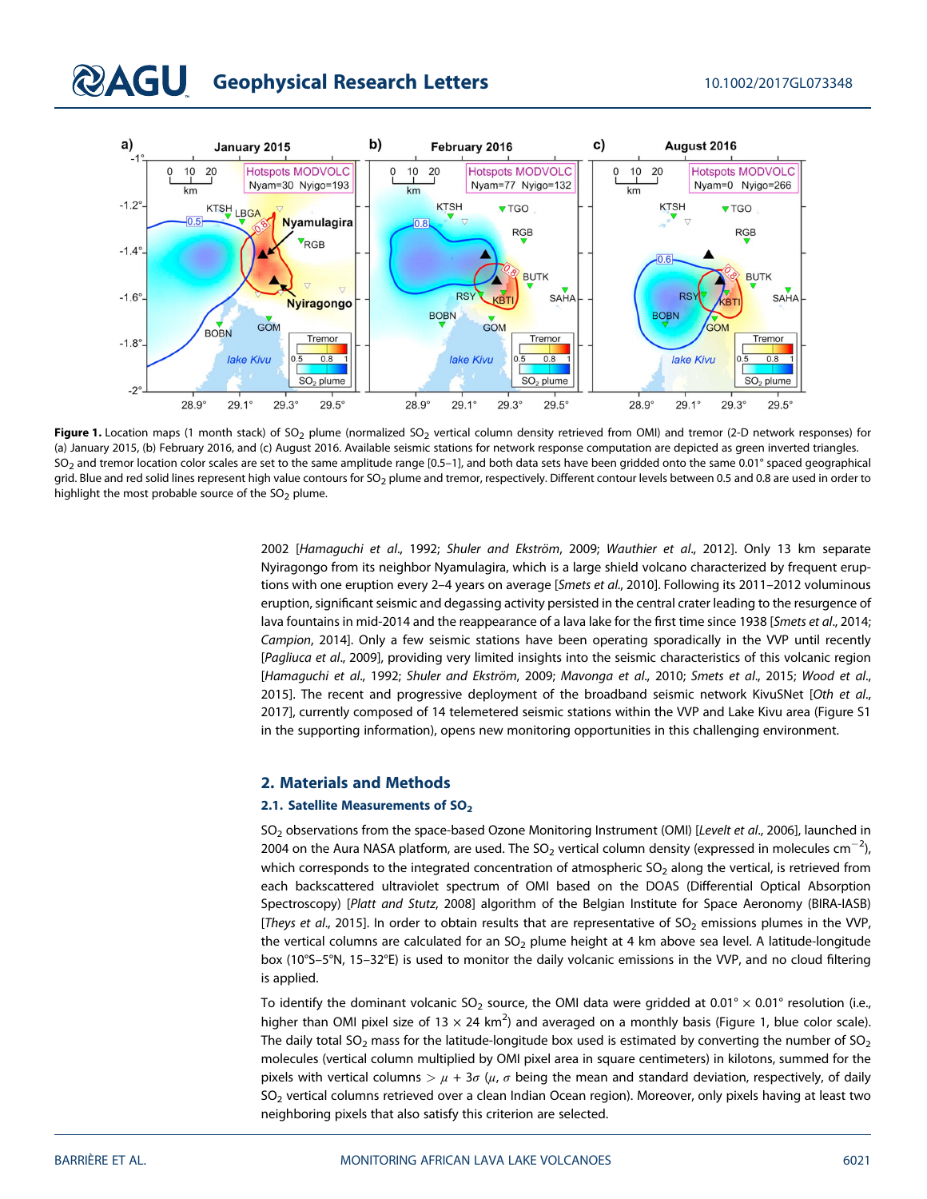# **QAGU** Geophysical Research Letters 10.1002/2017GL073348



Figure 1. Location maps (1 month stack) of SO<sub>2</sub> plume (normalized SO<sub>2</sub> vertical column density retrieved from OMI) and tremor (2-D network responses) for (a) January 2015, (b) February 2016, and (c) August 2016. Available seismic stations for network response computation are depicted as green inverted triangles. SO<sub>2</sub> and tremor location color scales are set to the same amplitude range [0.5-1], and both data sets have been gridded onto the same 0.01° spaced geographical grid. Blue and red solid lines represent high value contours for SO<sub>2</sub> plume and tremor, respectively. Different contour levels between 0.5 and 0.8 are used in order to highlight the most probable source of the  $SO<sub>2</sub>$  plume.

2002 [Hamaguchi et al., 1992; Shuler and Ekström, 2009; Wauthier et al., 2012]. Only 13 km separate Nyiragongo from its neighbor Nyamulagira, which is a large shield volcano characterized by frequent eruptions with one eruption every 2-4 years on average [Smets et al., 2010]. Following its 2011-2012 voluminous eruption, significant seismic and degassing activity persisted in the central crater leading to the resurgence of lava fountains in mid-2014 and the reappearance of a lava lake for the first time since 1938 [Smets et al., 2014; Campion, 2014]. Only a few seismic stations have been operating sporadically in the VVP until recently [Pagliuca et al., 2009], providing very limited insights into the seismic characteristics of this volcanic region [Hamaguchi et al., 1992; Shuler and Ekström, 2009; Mavonga et al., 2010; Smets et al., 2015; Wood et al., 2015]. The recent and progressive deployment of the broadband seismic network KivuSNet [Oth et al., 2017], currently composed of 14 telemetered seismic stations within the VVP and Lake Kivu area (Figure S1 in the supporting information), opens new monitoring opportunities in this challenging environment.

#### 2. Materials and Methods

#### 2.1. Satellite Measurements of SO<sub>2</sub>

SO<sub>2</sub> observations from the space-based Ozone Monitoring Instrument (OMI) [Levelt et al., 2006], launched in 2004 on the Aura NASA platform, are used. The SO<sub>2</sub> vertical column density (expressed in molecules cm $^{-2}$ ), which corresponds to the integrated concentration of atmospheric  $SO<sub>2</sub>$  along the vertical, is retrieved from each backscattered ultraviolet spectrum of OMI based on the DOAS (Differential Optical Absorption Spectroscopy) [Platt and Stutz, 2008] algorithm of the Belgian Institute for Space Aeronomy (BIRA-IASB) [Theys et al., 2015]. In order to obtain results that are representative of SO<sub>2</sub> emissions plumes in the VVP, the vertical columns are calculated for an  $SO<sub>2</sub>$  plume height at 4 km above sea level. A latitude-longitude box (10°S–5°N, 15–32°E) is used to monitor the daily volcanic emissions in the VVP, and no cloud filtering is applied.

To identify the dominant volcanic SO<sub>2</sub> source, the OMI data were gridded at 0.01° × 0.01° resolution (i.e., higher than OMI pixel size of 13  $\times$  24 km<sup>2</sup>) and averaged on a monthly basis (Figure 1, blue color scale). The daily total SO<sub>2</sub> mass for the latitude-longitude box used is estimated by converting the number of SO<sub>2</sub> molecules (vertical column multiplied by OMI pixel area in square centimeters) in kilotons, summed for the pixels with vertical columns  $\frac{1}{\mu} + 3\sigma$  ( $\mu$ ,  $\sigma$  being the mean and standard deviation, respectively, of daily SO<sub>2</sub> vertical columns retrieved over a clean Indian Ocean region). Moreover, only pixels having at least two neighboring pixels that also satisfy this criterion are selected.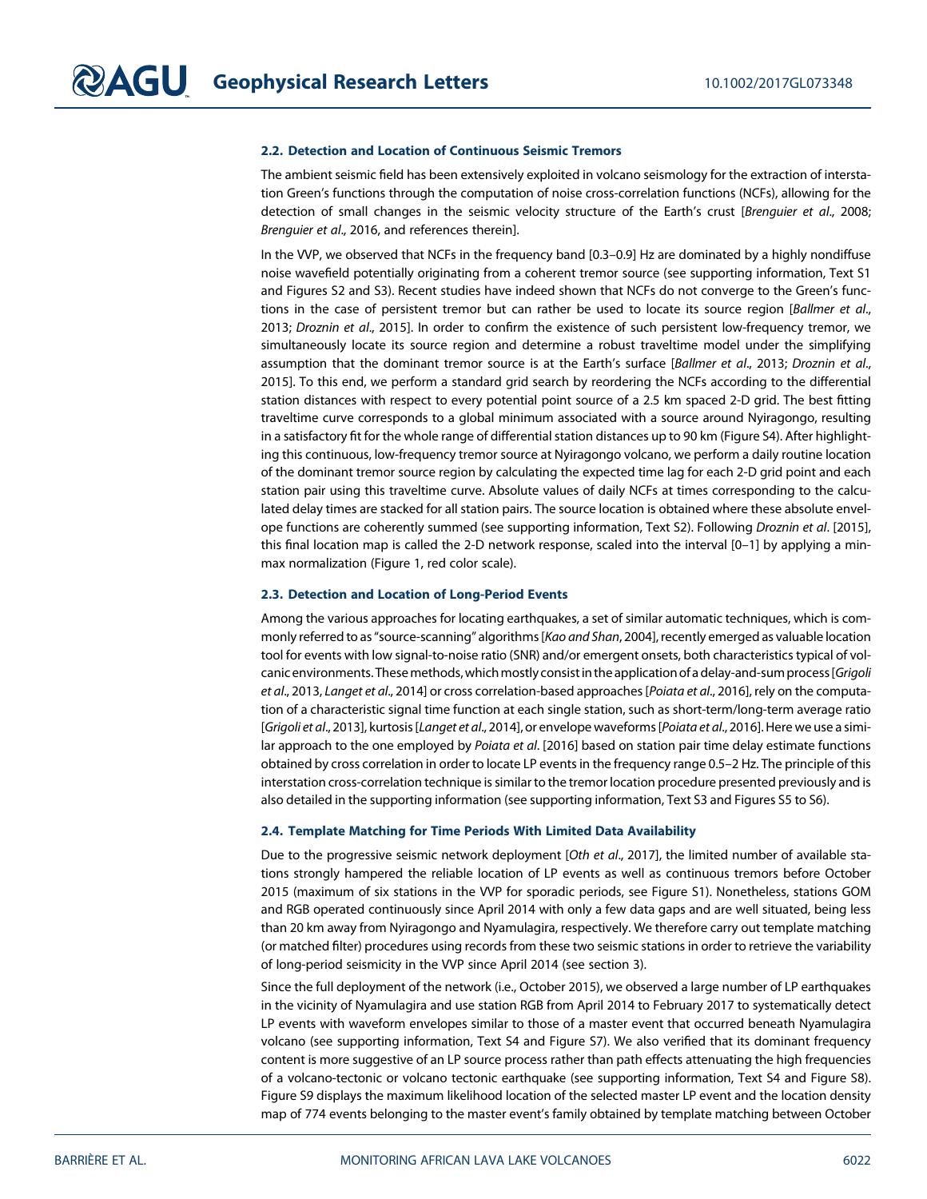#### 2.2. Detection and Location of Continuous Seismic Tremors

The ambient seismic field has been extensively exploited in volcano seismology for the extraction of interstation Green's functions through the computation of noise cross-correlation functions (NCFs), allowing for the detection of small changes in the seismic velocity structure of the Earth's crust [Brenguier et al., 2008; Brenguier et al., 2016, and references therein].

In the VVP, we observed that NCFs in the frequency band [0.3–0.9] Hz are dominated by a highly nondiffuse noise wavefield potentially originating from a coherent tremor source (see supporting information, Text S1 and Figures S2 and S3). Recent studies have indeed shown that NCFs do not converge to the Green's functions in the case of persistent tremor but can rather be used to locate its source region [Ballmer et al., 2013; Droznin et al., 2015]. In order to confirm the existence of such persistent low-frequency tremor, we simultaneously locate its source region and determine a robust traveltime model under the simplifying assumption that the dominant tremor source is at the Earth's surface [Ballmer et al., 2013; Droznin et al., 2015]. To this end, we perform a standard grid search by reordering the NCFs according to the differential station distances with respect to every potential point source of a 2.5 km spaced 2-D grid. The best fitting traveltime curve corresponds to a global minimum associated with a source around Nyiragongo, resulting in a satisfactory fit for the whole range of differential station distances up to 90 km (Figure S4). After highlighting this continuous, low-frequency tremor source at Nyiragongo volcano, we perform a daily routine location of the dominant tremor source region by calculating the expected time lag for each 2-D grid point and each station pair using this traveltime curve. Absolute values of daily NCFs at times corresponding to the calculated delay times are stacked for all station pairs. The source location is obtained where these absolute envelope functions are coherently summed (see supporting information, Text S2). Following Droznin et al. [2015], this final location map is called the 2-D network response, scaled into the interval [0–1] by applying a minmax normalization (Figure 1, red color scale).

#### 2.3. Detection and Location of Long-Period Events

Among the various approaches for locating earthquakes, a set of similar automatic techniques, which is commonly referred to as"source-scanning" algorithms [Kao and Shan, 2004], recently emerged as valuable location tool for events with low signal-to-noise ratio (SNR) and/or emergent onsets, both characteristics typical of volcanic environments. These methods, which mostly consist in the application of a delay-and-sum process [Grigoli et al., 2013, Langet et al., 2014] or cross correlation-based approaches [Poiata et al., 2016], rely on the computation of a characteristic signal time function at each single station, such as short-term/long-term average ratio [Grigoli et al., 2013], kurtosis [Langet et al., 2014], or envelope waveforms [Poiata et al., 2016]. Here we use a similar approach to the one employed by Poiata et al. [2016] based on station pair time delay estimate functions obtained by cross correlation in order to locate LP events in the frequency range 0.5–2 Hz. The principle of this interstation cross-correlation technique is similar to the tremor location procedure presented previously and is also detailed in the supporting information (see supporting information, Text S3 and Figures S5 to S6).

#### 2.4. Template Matching for Time Periods With Limited Data Availability

Due to the progressive seismic network deployment [Oth et al., 2017], the limited number of available stations strongly hampered the reliable location of LP events as well as continuous tremors before October 2015 (maximum of six stations in the VVP for sporadic periods, see Figure S1). Nonetheless, stations GOM and RGB operated continuously since April 2014 with only a few data gaps and are well situated, being less than 20 km away from Nyiragongo and Nyamulagira, respectively. We therefore carry out template matching (or matched filter) procedures using records from these two seismic stations in order to retrieve the variability of long-period seismicity in the VVP since April 2014 (see section 3).

Since the full deployment of the network (i.e., October 2015), we observed a large number of LP earthquakes in the vicinity of Nyamulagira and use station RGB from April 2014 to February 2017 to systematically detect LP events with waveform envelopes similar to those of a master event that occurred beneath Nyamulagira volcano (see supporting information, Text S4 and Figure S7). We also verified that its dominant frequency content is more suggestive of an LP source process rather than path effects attenuating the high frequencies of a volcano-tectonic or volcano tectonic earthquake (see supporting information, Text S4 and Figure S8). Figure S9 displays the maximum likelihood location of the selected master LP event and the location density map of 774 events belonging to the master event's family obtained by template matching between October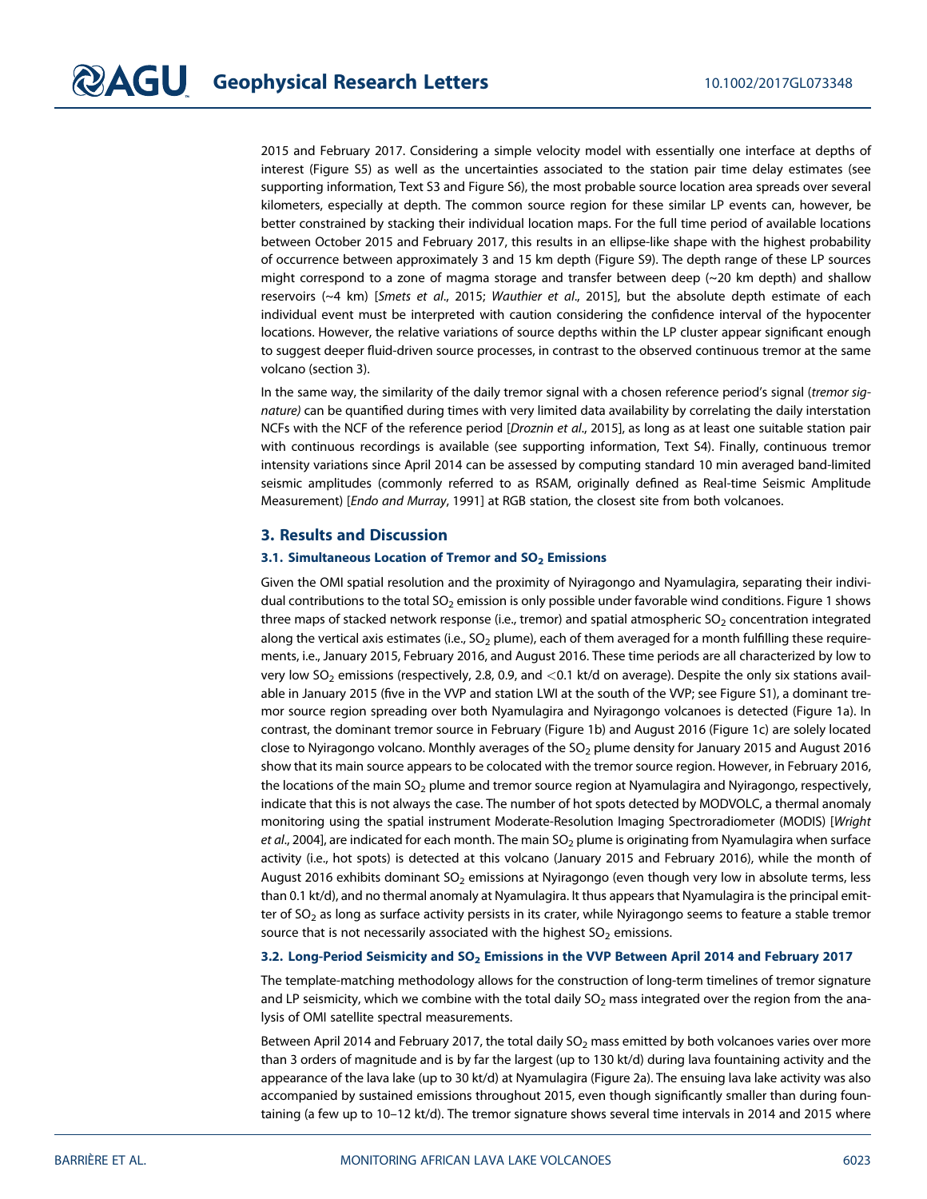2015 and February 2017. Considering a simple velocity model with essentially one interface at depths of interest (Figure S5) as well as the uncertainties associated to the station pair time delay estimates (see supporting information, Text S3 and Figure S6), the most probable source location area spreads over several kilometers, especially at depth. The common source region for these similar LP events can, however, be better constrained by stacking their individual location maps. For the full time period of available locations between October 2015 and February 2017, this results in an ellipse-like shape with the highest probability of occurrence between approximately 3 and 15 km depth (Figure S9). The depth range of these LP sources might correspond to a zone of magma storage and transfer between deep  $(\sim 20 \text{ km depth})$  and shallow reservoirs (~4 km) [Smets et al., 2015; Wauthier et al., 2015], but the absolute depth estimate of each individual event must be interpreted with caution considering the confidence interval of the hypocenter locations. However, the relative variations of source depths within the LP cluster appear significant enough to suggest deeper fluid-driven source processes, in contrast to the observed continuous tremor at the same volcano (section 3).

In the same way, the similarity of the daily tremor signal with a chosen reference period's signal (tremor signature) can be quantified during times with very limited data availability by correlating the daily interstation NCFs with the NCF of the reference period [Droznin et al., 2015], as long as at least one suitable station pair with continuous recordings is available (see supporting information, Text S4). Finally, continuous tremor intensity variations since April 2014 can be assessed by computing standard 10 min averaged band-limited seismic amplitudes (commonly referred to as RSAM, originally defined as Real-time Seismic Amplitude Measurement) [Endo and Murray, 1991] at RGB station, the closest site from both volcanoes.

### 3. Results and Discussion

### 3.1. Simultaneous Location of Tremor and  $SO<sub>2</sub>$  Emissions

Given the OMI spatial resolution and the proximity of Nyiragongo and Nyamulagira, separating their individual contributions to the total  $SO_2$  emission is only possible under favorable wind conditions. Figure 1 shows three maps of stacked network response (i.e., tremor) and spatial atmospheric  $SO<sub>2</sub>$  concentration integrated along the vertical axis estimates (i.e.,  $SO_2$  plume), each of them averaged for a month fulfilling these requirements, i.e., January 2015, February 2016, and August 2016. These time periods are all characterized by low to very low SO<sub>2</sub> emissions (respectively, 2.8, 0.9, and <0.1 kt/d on average). Despite the only six stations available in January 2015 (five in the VVP and station LWI at the south of the VVP; see Figure S1), a dominant tremor source region spreading over both Nyamulagira and Nyiragongo volcanoes is detected (Figure 1a). In contrast, the dominant tremor source in February (Figure 1b) and August 2016 (Figure 1c) are solely located close to Nyiragongo volcano. Monthly averages of the  $SO_2$  plume density for January 2015 and August 2016 show that its main source appears to be colocated with the tremor source region. However, in February 2016, the locations of the main  $SO<sub>2</sub>$  plume and tremor source region at Nyamulagira and Nyiragongo, respectively, indicate that this is not always the case. The number of hot spots detected by MODVOLC, a thermal anomaly monitoring using the spatial instrument Moderate-Resolution Imaging Spectroradiometer (MODIS) [Wright et al., 2004], are indicated for each month. The main  $SO_2$  plume is originating from Nyamulagira when surface activity (i.e., hot spots) is detected at this volcano (January 2015 and February 2016), while the month of August 2016 exhibits dominant SO<sub>2</sub> emissions at Nyiragongo (even though very low in absolute terms, less than 0.1 kt/d), and no thermal anomaly at Nyamulagira. It thus appears that Nyamulagira is the principal emitter of  $SO<sub>2</sub>$  as long as surface activity persists in its crater, while Nyiragongo seems to feature a stable tremor source that is not necessarily associated with the highest  $SO<sub>2</sub>$  emissions.

#### 3.2. Long-Period Seismicity and SO<sub>2</sub> Emissions in the VVP Between April 2014 and February 2017

The template-matching methodology allows for the construction of long-term timelines of tremor signature and LP seismicity, which we combine with the total daily  $SO<sub>2</sub>$  mass integrated over the region from the analysis of OMI satellite spectral measurements.

Between April 2014 and February 2017, the total daily  $SO_2$  mass emitted by both volcanoes varies over more than 3 orders of magnitude and is by far the largest (up to 130 kt/d) during lava fountaining activity and the appearance of the lava lake (up to 30 kt/d) at Nyamulagira (Figure 2a). The ensuing lava lake activity was also accompanied by sustained emissions throughout 2015, even though significantly smaller than during fountaining (a few up to 10–12 kt/d). The tremor signature shows several time intervals in 2014 and 2015 where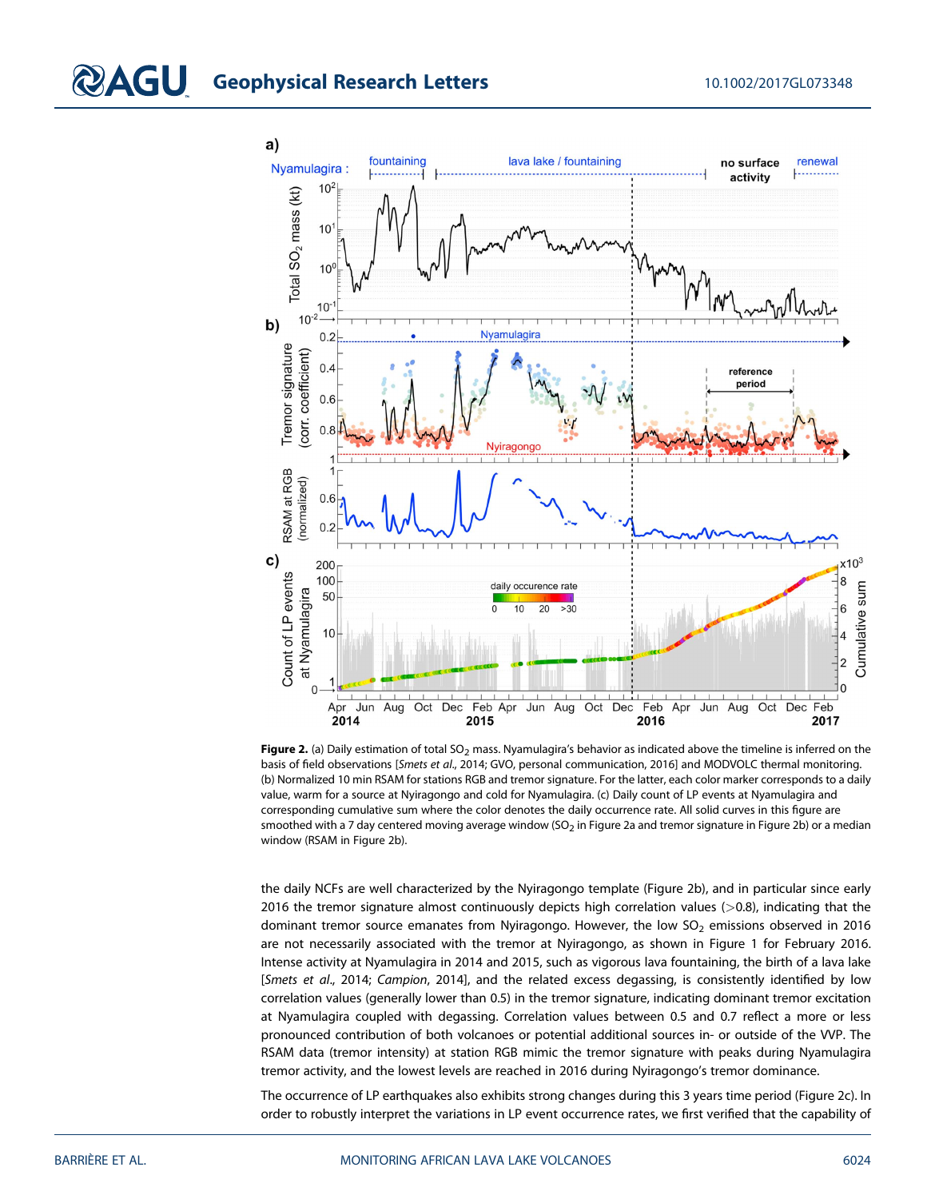

Figure 2. (a) Daily estimation of total SO<sub>2</sub> mass. Nyamulagira's behavior as indicated above the timeline is inferred on the basis of field observations [Smets et al., 2014; GVO, personal communication, 2016] and MODVOLC thermal monitoring. (b) Normalized 10 min RSAM for stations RGB and tremor signature. For the latter, each color marker corresponds to a daily value, warm for a source at Nyiragongo and cold for Nyamulagira. (c) Daily count of LP events at Nyamulagira and corresponding cumulative sum where the color denotes the daily occurrence rate. All solid curves in this figure are smoothed with a 7 day centered moving average window (SO<sub>2</sub> in Figure 2a and tremor signature in Figure 2b) or a median window (RSAM in Figure 2b).

the daily NCFs are well characterized by the Nyiragongo template (Figure 2b), and in particular since early 2016 the tremor signature almost continuously depicts high correlation values (>0.8), indicating that the dominant tremor source emanates from Nyiragongo. However, the low  $SO<sub>2</sub>$  emissions observed in 2016 are not necessarily associated with the tremor at Nyiragongo, as shown in Figure 1 for February 2016. Intense activity at Nyamulagira in 2014 and 2015, such as vigorous lava fountaining, the birth of a lava lake [Smets et al., 2014; Campion, 2014], and the related excess degassing, is consistently identified by low correlation values (generally lower than 0.5) in the tremor signature, indicating dominant tremor excitation at Nyamulagira coupled with degassing. Correlation values between 0.5 and 0.7 reflect a more or less pronounced contribution of both volcanoes or potential additional sources in- or outside of the VVP. The RSAM data (tremor intensity) at station RGB mimic the tremor signature with peaks during Nyamulagira tremor activity, and the lowest levels are reached in 2016 during Nyiragongo's tremor dominance.

The occurrence of LP earthquakes also exhibits strong changes during this 3 years time period (Figure 2c). In order to robustly interpret the variations in LP event occurrence rates, we first verified that the capability of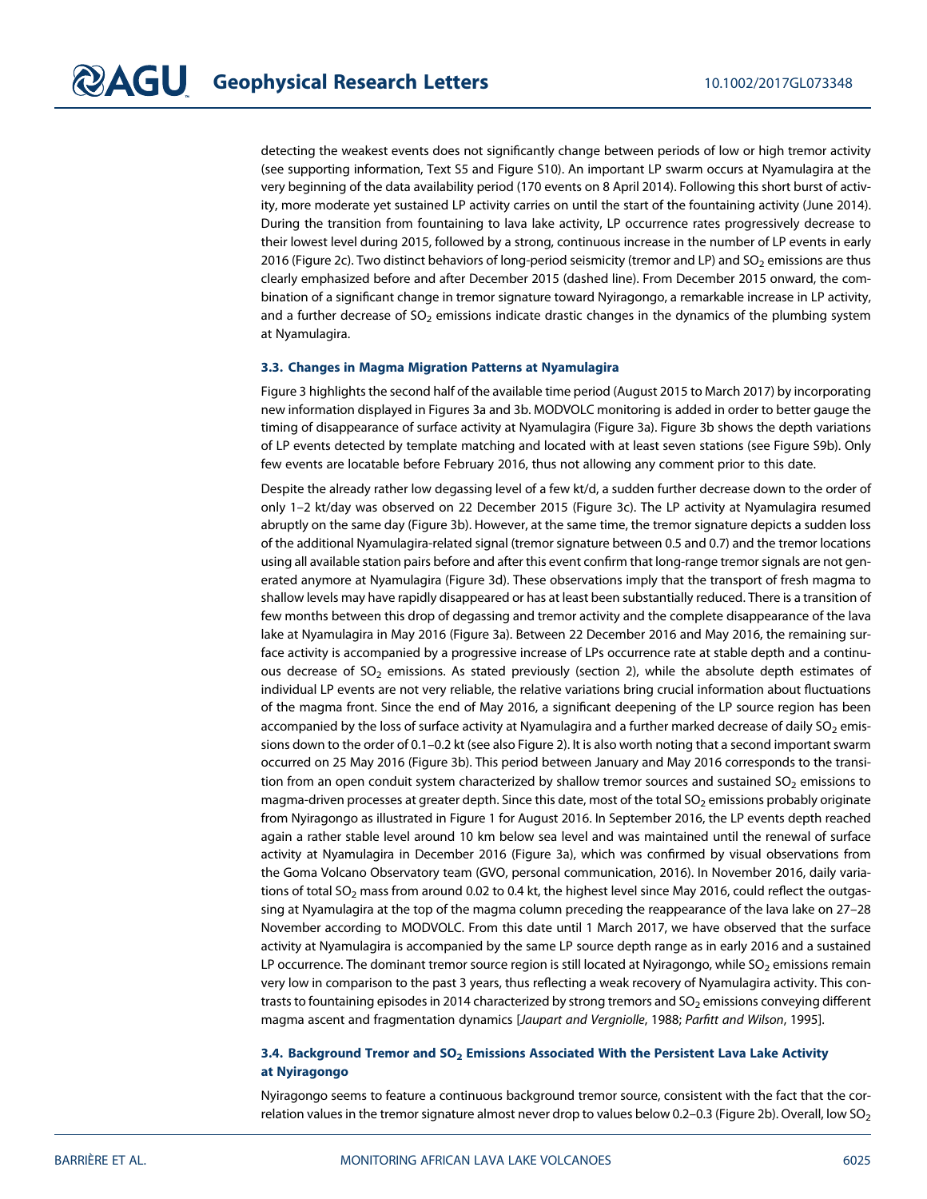detecting the weakest events does not significantly change between periods of low or high tremor activity (see supporting information, Text S5 and Figure S10). An important LP swarm occurs at Nyamulagira at the very beginning of the data availability period (170 events on 8 April 2014). Following this short burst of activity, more moderate yet sustained LP activity carries on until the start of the fountaining activity (June 2014). During the transition from fountaining to lava lake activity, LP occurrence rates progressively decrease to their lowest level during 2015, followed by a strong, continuous increase in the number of LP events in early 2016 (Figure 2c). Two distinct behaviors of long-period seismicity (tremor and LP) and SO<sub>2</sub> emissions are thus clearly emphasized before and after December 2015 (dashed line). From December 2015 onward, the combination of a significant change in tremor signature toward Nyiragongo, a remarkable increase in LP activity, and a further decrease of  $SO<sub>2</sub>$  emissions indicate drastic changes in the dynamics of the plumbing system at Nyamulagira.

#### 3.3. Changes in Magma Migration Patterns at Nyamulagira

Figure 3 highlights the second half of the available time period (August 2015 to March 2017) by incorporating new information displayed in Figures 3a and 3b. MODVOLC monitoring is added in order to better gauge the timing of disappearance of surface activity at Nyamulagira (Figure 3a). Figure 3b shows the depth variations of LP events detected by template matching and located with at least seven stations (see Figure S9b). Only few events are locatable before February 2016, thus not allowing any comment prior to this date.

Despite the already rather low degassing level of a few kt/d, a sudden further decrease down to the order of only 1–2 kt/day was observed on 22 December 2015 (Figure 3c). The LP activity at Nyamulagira resumed abruptly on the same day (Figure 3b). However, at the same time, the tremor signature depicts a sudden loss of the additional Nyamulagira-related signal (tremor signature between 0.5 and 0.7) and the tremor locations using all available station pairs before and after this event confirm that long-range tremor signals are not generated anymore at Nyamulagira (Figure 3d). These observations imply that the transport of fresh magma to shallow levels may have rapidly disappeared or has at least been substantially reduced. There is a transition of few months between this drop of degassing and tremor activity and the complete disappearance of the lava lake at Nyamulagira in May 2016 (Figure 3a). Between 22 December 2016 and May 2016, the remaining surface activity is accompanied by a progressive increase of LPs occurrence rate at stable depth and a continuous decrease of  $SO_2$  emissions. As stated previously (section 2), while the absolute depth estimates of individual LP events are not very reliable, the relative variations bring crucial information about fluctuations of the magma front. Since the end of May 2016, a significant deepening of the LP source region has been accompanied by the loss of surface activity at Nyamulagira and a further marked decrease of daily  $SO_2$  emissions down to the order of 0.1–0.2 kt (see also Figure 2). It is also worth noting that a second important swarm occurred on 25 May 2016 (Figure 3b). This period between January and May 2016 corresponds to the transition from an open conduit system characterized by shallow tremor sources and sustained  $SO<sub>2</sub>$  emissions to magma-driven processes at greater depth. Since this date, most of the total SO<sub>2</sub> emissions probably originate from Nyiragongo as illustrated in Figure 1 for August 2016. In September 2016, the LP events depth reached again a rather stable level around 10 km below sea level and was maintained until the renewal of surface activity at Nyamulagira in December 2016 (Figure 3a), which was confirmed by visual observations from the Goma Volcano Observatory team (GVO, personal communication, 2016). In November 2016, daily variations of total SO<sub>2</sub> mass from around 0.02 to 0.4 kt, the highest level since May 2016, could reflect the outgassing at Nyamulagira at the top of the magma column preceding the reappearance of the lava lake on 27–28 November according to MODVOLC. From this date until 1 March 2017, we have observed that the surface activity at Nyamulagira is accompanied by the same LP source depth range as in early 2016 and a sustained LP occurrence. The dominant tremor source region is still located at Nyiragongo, while SO<sub>2</sub> emissions remain very low in comparison to the past 3 years, thus reflecting a weak recovery of Nyamulagira activity. This contrasts to fountaining episodes in 2014 characterized by strong tremors and  $SO<sub>2</sub>$  emissions conveying different magma ascent and fragmentation dynamics [Jaupart and Vergniolle, 1988; Parfitt and Wilson, 1995].

#### 3.4. Background Tremor and  $SO_2$  Emissions Associated With the Persistent Lava Lake Activity at Nyiragongo

Nyiragongo seems to feature a continuous background tremor source, consistent with the fact that the correlation values in the tremor signature almost never drop to values below 0.2–0.3 (Figure 2b). Overall, low  $SO_2$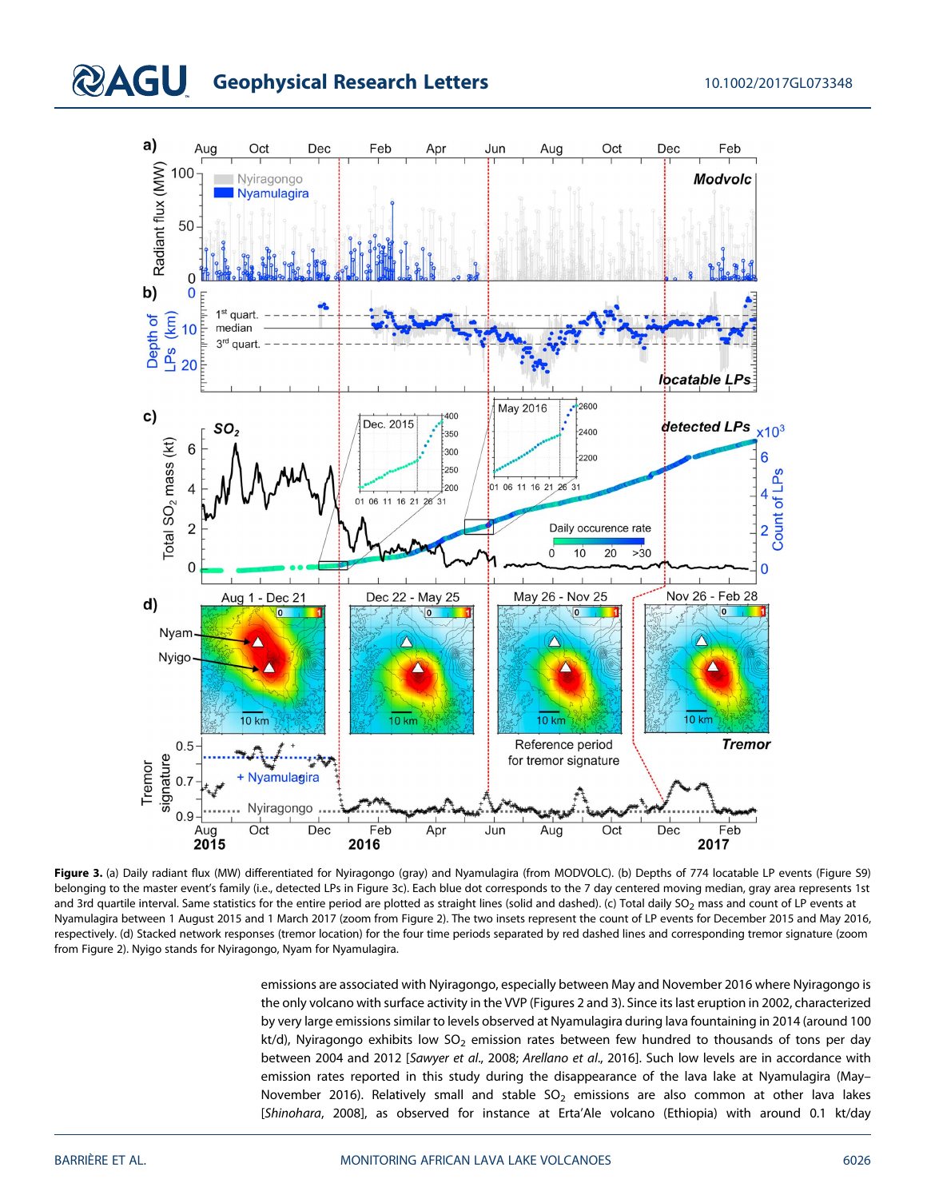# **QAGU** Geophysical Research Letters 10.1002/2017GL073348



Figure 3. (a) Daily radiant flux (MW) differentiated for Nyiragongo (gray) and Nyamulagira (from MODVOLC). (b) Depths of 774 locatable LP events (Figure S9) belonging to the master event's family (i.e., detected LPs in Figure 3c). Each blue dot corresponds to the 7 day centered moving median, gray area represents 1st and 3rd quartile interval. Same statistics for the entire period are plotted as straight lines (solid and dashed). (c) Total daily SO<sub>2</sub> mass and count of LP events at Nyamulagira between 1 August 2015 and 1 March 2017 (zoom from Figure 2). The two insets represent the count of LP events for December 2015 and May 2016, respectively. (d) Stacked network responses (tremor location) for the four time periods separated by red dashed lines and corresponding tremor signature (zoom from Figure 2). Nyigo stands for Nyiragongo, Nyam for Nyamulagira.

emissions are associated with Nyiragongo, especially between May and November 2016 where Nyiragongo is the only volcano with surface activity in the VVP (Figures 2 and 3). Since its last eruption in 2002, characterized by very large emissions similar to levels observed at Nyamulagira during lava fountaining in 2014 (around 100 kt/d), Nyiragongo exhibits low  $SO_2$  emission rates between few hundred to thousands of tons per day between 2004 and 2012 [Sawyer et al., 2008; Arellano et al., 2016]. Such low levels are in accordance with emission rates reported in this study during the disappearance of the lava lake at Nyamulagira (May– November 2016). Relatively small and stable  $SO<sub>2</sub>$  emissions are also common at other lava lakes [Shinohara, 2008], as observed for instance at Erta'Ale volcano (Ethiopia) with around 0.1 kt/day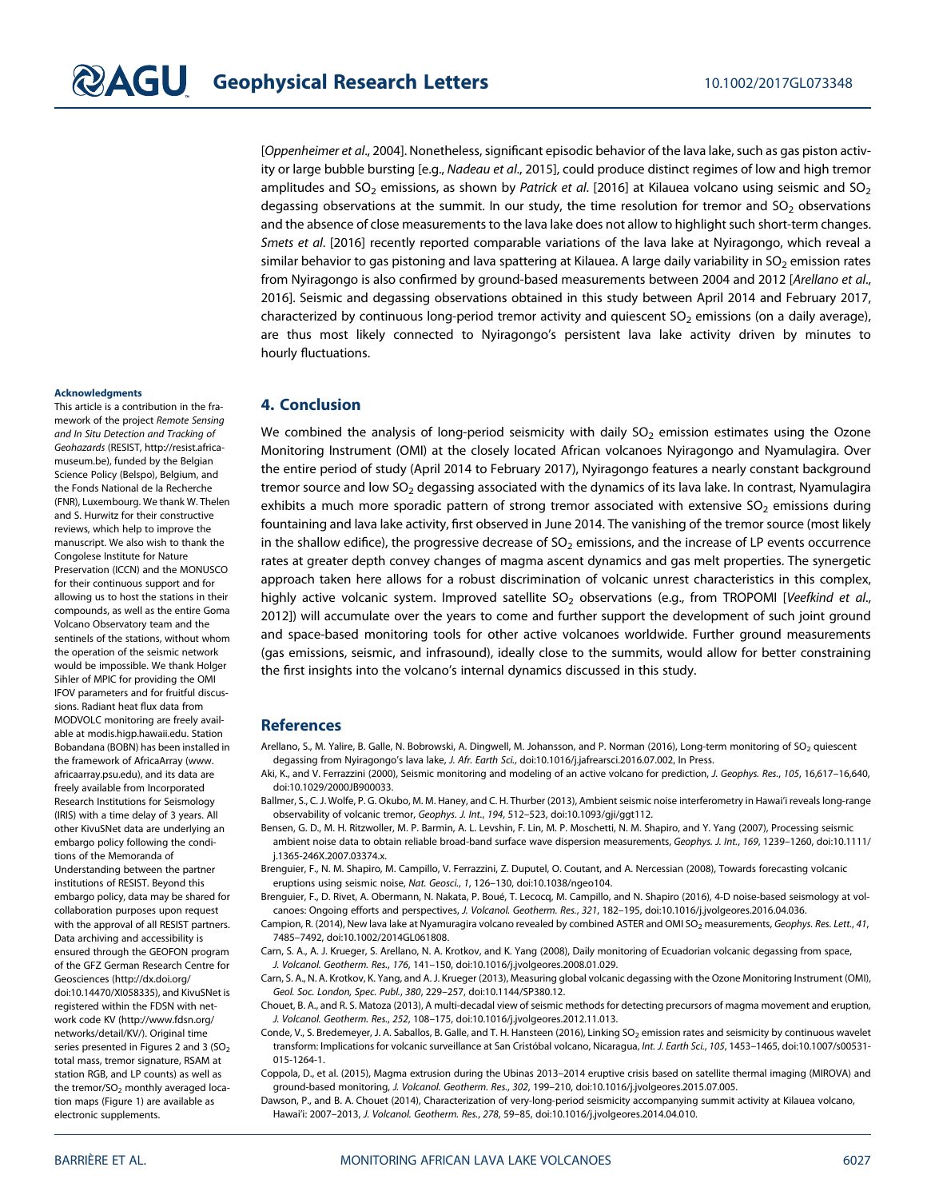[Oppenheimer et al., 2004]. Nonetheless, significant episodic behavior of the lava lake, such as gas piston activity or large bubble bursting [e.g., Nadeau et al., 2015], could produce distinct regimes of low and high tremor amplitudes and SO<sub>2</sub> emissions, as shown by Patrick et al. [2016] at Kilauea volcano using seismic and SO<sub>2</sub> degassing observations at the summit. In our study, the time resolution for tremor and  $SO<sub>2</sub>$  observations and the absence of close measurements to the lava lake does not allow to highlight such short-term changes. Smets et al. [2016] recently reported comparable variations of the lava lake at Nyiragongo, which reveal a similar behavior to gas pistoning and lava spattering at Kilauea. A large daily variability in  $SO_2$  emission rates from Nyiragongo is also confirmed by ground-based measurements between 2004 and 2012 [Arellano et al., 2016]. Seismic and degassing observations obtained in this study between April 2014 and February 2017, characterized by continuous long-period tremor activity and quiescent  $SO<sub>2</sub>$  emissions (on a daily average), are thus most likely connected to Nyiragongo's persistent lava lake activity driven by minutes to hourly fluctuations.

#### **Acknowledgments**

This article is a contribution in the framework of the project Remote Sensing and In Situ Detection and Tracking of Geohazards (RESIST, [http://resist.africa](http://resist.africamuseum.be)[museum.be](http://resist.africamuseum.be)), funded by the Belgian Science Policy (Belspo), Belgium, and the Fonds National de la Recherche (FNR), Luxembourg. We thank W. Thelen and S. Hurwitz for their constructive reviews, which help to improve the manuscript. We also wish to thank the Congolese Institute for Nature Preservation (ICCN) and the MONUSCO for their continuous support and for allowing us to host the stations in their compounds, as well as the entire Goma Volcano Observatory team and the sentinels of the stations, without whom the operation of the seismic network would be impossible. We thank Holger Sihler of MPIC for providing the OMI IFOV parameters and for fruitful discussions. Radiant heat flux data from MODVOLC monitoring are freely available at [modis.higp.hawaii.edu](http://modis.higp.hawaii.edu). Station Bobandana (BOBN) has been installed in the framework of AfricaArray ([www.](http://www.africaarray.psu.edu) [africaarray.psu.edu\)](http://www.africaarray.psu.edu), and its data are freely available from Incorporated Research Institutions for Seismology (IRIS) with a time delay of 3 years. All other KivuSNet data are underlying an embargo policy following the conditions of the Memoranda of Understanding between the partner institutions of RESIST. Beyond this embargo policy, data may be shared for collaboration purposes upon request with the approval of all RESIST partners. Data archiving and accessibility is ensured through the GEOFON program of the GFZ German Research Centre for Geosciences [\(http://dx.doi.org/](http://dx.doi.org/doi:10.14470/XI058335) [doi:10.14470/XI058335\)](http://dx.doi.org/doi:10.14470/XI058335), and KivuSNet is registered within the FDSN with network code KV [\(http://www.fdsn.org/](http://www.fdsn.org/networks/detail/KV/) [networks/detail/KV/\)](http://www.fdsn.org/networks/detail/KV/). Original time series presented in Figures 2 and 3  $(SO<sub>2</sub>)$ total mass, tremor signature, RSAM at station RGB, and LP counts) as well as the tremor/ $SO<sub>2</sub>$  monthly averaged location maps (Figure 1) are available as electronic supplements.

## 4. Conclusion

We combined the analysis of long-period seismicity with daily  $SO<sub>2</sub>$  emission estimates using the Ozone Monitoring Instrument (OMI) at the closely located African volcanoes Nyiragongo and Nyamulagira. Over the entire period of study (April 2014 to February 2017), Nyiragongo features a nearly constant background tremor source and low SO<sub>2</sub> degassing associated with the dynamics of its lava lake. In contrast, Nyamulagira exhibits a much more sporadic pattern of strong tremor associated with extensive SO<sub>2</sub> emissions during fountaining and lava lake activity, first observed in June 2014. The vanishing of the tremor source (most likely in the shallow edifice), the progressive decrease of  $SO<sub>2</sub>$  emissions, and the increase of LP events occurrence rates at greater depth convey changes of magma ascent dynamics and gas melt properties. The synergetic approach taken here allows for a robust discrimination of volcanic unrest characteristics in this complex, highly active volcanic system. Improved satellite SO<sub>2</sub> observations (e.g., from TROPOMI [Veefkind et al., 2012]) will accumulate over the years to come and further support the development of such joint ground and space-based monitoring tools for other active volcanoes worldwide. Further ground measurements (gas emissions, seismic, and infrasound), ideally close to the summits, would allow for better constraining the first insights into the volcano's internal dynamics discussed in this study.

#### **References**

- Arellano, S., M. Yalire, B. Galle, N. Bobrowski, A. Dingwell, M. Johansson, and P. Norman (2016), Long-term monitoring of SO<sub>2</sub> quiescent degassing from Nyiragongo's lava lake, J. Afr. Earth Sci., doi[:10.1016/j.jafrearsci.2016.07.002,](https://doi.org/10.1016/j.jafrearsci.2016.07.002) In Press.
- Aki, K., and V. Ferrazzini (2000), Seismic monitoring and modeling of an active volcano for prediction, J. Geophys. Res., 105, 16,617-16,640, doi[:10.1029/2000JB900033.](https://doi.org/10.1029/2000JB900033)
- Ballmer, S., C. J. Wolfe, P. G. Okubo, M. M. Haney, and C. H. Thurber (2013), Ambient seismic noise interferometry in Hawai'i reveals long-range observability of volcanic tremor, Geophys. J. Int., 194, 512–523, doi:[10.1093/gji/ggt112.](https://doi.org/10.1093/gji/ggt112)
- Bensen, G. D., M. H. Ritzwoller, M. P. Barmin, A. L. Levshin, F. Lin, M. P. Moschetti, N. M. Shapiro, and Y. Yang (2007), Processing seismic ambient noise data to obtain reliable broad-band surface wave dispersion measurements, Geophys. J. Int., 169, 1239–1260, doi[:10.1111/](https://doi.org/10.1111/j.1365-246X.2007.03374.x) [j.1365-246X.2007.03374.x](https://doi.org/10.1111/j.1365-246X.2007.03374.x).
- Brenguier, F., N. M. Shapiro, M. Campillo, V. Ferrazzini, Z. Duputel, O. Coutant, and A. Nercessian (2008), Towards forecasting volcanic eruptions using seismic noise, Nat. Geosci., 1, 126–130, doi[:10.1038/ngeo104](https://doi.org/10.1038/ngeo104).
- Brenguier, F., D. Rivet, A. Obermann, N. Nakata, P. Boué, T. Lecocq, M. Campillo, and N. Shapiro (2016), 4-D noise-based seismology at volcanoes: Ongoing efforts and perspectives, J. Volcanol. Geotherm. Res., 321, 182–195, doi:[10.1016/j.jvolgeores.2016.04.036.](https://doi.org/10.1016/j.jvolgeores.2016.04.036)
- Campion, R. (2014), New lava lake at Nyamuragira volcano revealed by combined ASTER and OMI SO<sub>2</sub> measurements, Geophys. Res. Lett., 41, 7485–7492, doi:[10.1002/2014GL061808](https://doi.org/10.1002/2014GL061808).
- Carn, S. A., A. J. Krueger, S. Arellano, N. A. Krotkov, and K. Yang (2008), Daily monitoring of Ecuadorian volcanic degassing from space, J. Volcanol. Geotherm. Res., 176, 141–150, doi[:10.1016/j.jvolgeores.2008.01.029.](https://doi.org/10.1016/j.jvolgeores.2008.01.029)
- Carn, S. A., N. A. Krotkov, K. Yang, and A. J. Krueger (2013), Measuring global volcanic degassing with the Ozone Monitoring Instrument (OMI), Geol. Soc. London, Spec. Publ., 380, 229–257, doi[:10.1144/SP380.12.](https://doi.org/10.1144/SP380.12)
- Chouet, B. A., and R. S. Matoza (2013), A multi-decadal view of seismic methods for detecting precursors of magma movement and eruption, J. Volcanol. Geotherm. Res., 252, 108–175, doi[:10.1016/j.jvolgeores.2012.11.013.](https://doi.org/10.1016/j.jvolgeores.2012.11.013)
- Conde, V., S. Bredemeyer, J. A. Saballos, B. Galle, and T. H. Hansteen (2016), Linking SO<sub>2</sub> emission rates and seismicity by continuous wavelet transform: Implications for volcanic surveillance at San Cristóbal volcano, Nicaragua, Int. J. Earth Sci., 105, 1453–1465, doi:[10.1007/s00531-](https://doi.org/10.1007/s00531-015-1264-1) [015-1264-1](https://doi.org/10.1007/s00531-015-1264-1).
- Coppola, D., et al. (2015), Magma extrusion during the Ubinas 2013–2014 eruptive crisis based on satellite thermal imaging (MIROVA) and ground-based monitoring, J. Volcanol. Geotherm. Res., 302, 199–210, doi[:10.1016/j.jvolgeores.2015.07.005.](https://doi.org/10.1016/j.jvolgeores.2015.07.005)
- Dawson, P., and B. A. Chouet (2014), Characterization of very-long-period seismicity accompanying summit activity at Kilauea volcano, Hawai'i: 2007–2013, J. Volcanol. Geotherm. Res., 278, 59–85, doi:[10.1016/j.jvolgeores.2014.04.010](https://doi.org/10.1016/j.jvolgeores.2014.04.010).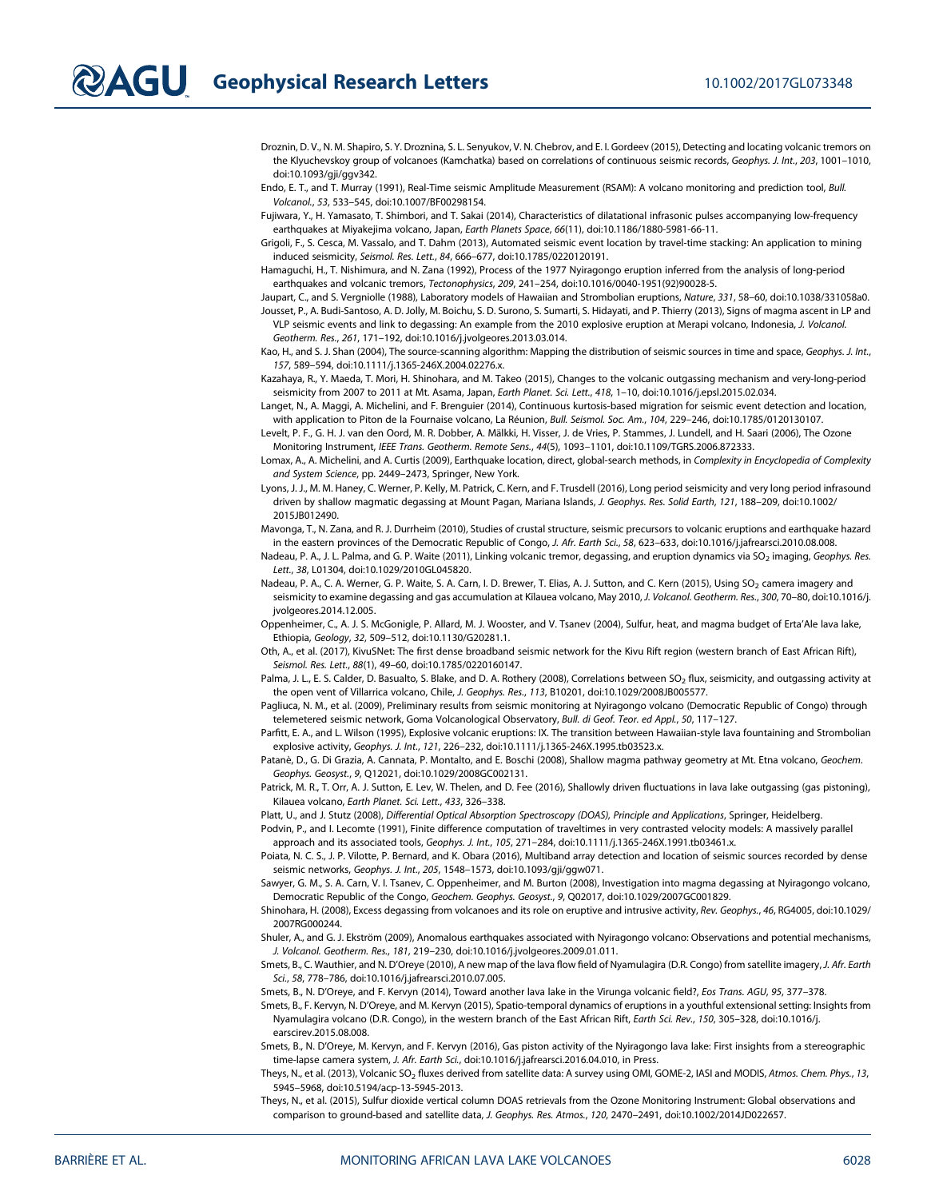Droznin, D. V., N. M. Shapiro, S. Y. Droznina, S. L. Senyukov, V. N. Chebrov, and E. I. Gordeev (2015), Detecting and locating volcanic tremors on the Klyuchevskoy group of volcanoes (Kamchatka) based on correlations of continuous seismic records, Geophys. J. Int., 203, 1001–1010, doi[:10.1093/gji/ggv342.](https://doi.org/10.1093/gji/ggv342)

Endo, E. T., and T. Murray (1991), Real-Time seismic Amplitude Measurement (RSAM): A volcano monitoring and prediction tool, Bull. Volcanol., 53, 533–545, doi:[10.1007/BF00298154.](https://doi.org/10.1007/BF00298154)

Fujiwara, Y., H. Yamasato, T. Shimbori, and T. Sakai (2014), Characteristics of dilatational infrasonic pulses accompanying low-frequency earthquakes at Miyakejima volcano, Japan, Earth Planets Space, 66(11), doi[:10.1186/1880-5981-66-11.](https://doi.org/10.1186/1880-5981-66-11)

Grigoli, F., S. Cesca, M. Vassalo, and T. Dahm (2013), Automated seismic event location by travel-time stacking: An application to mining induced seismicity, Seismol. Res. Lett., 84, 666–677, doi:[10.1785/0220120191.](https://doi.org/10.1785/0220120191)

Hamaguchi, H., T. Nishimura, and N. Zana (1992), Process of the 1977 Nyiragongo eruption inferred from the analysis of long-period earthquakes and volcanic tremors, Tectonophysics, 209, 241–254, doi:[10.1016/0040-1951\(92\)90028-5](https://doi.org/10.1016/0040-1951(92)90028-5).

Jaupart, C., and S. Vergniolle (1988), Laboratory models of Hawaiian and Strombolian eruptions, Nature, 331, 58–60, doi:[10.1038/331058a0](https://doi.org/10.1038/331058a0). Jousset, P., A. Budi-Santoso, A. D. Jolly, M. Boichu, S. D. Surono, S. Sumarti, S. Hidayati, and P. Thierry (2013), Signs of magma ascent in LP and VLP seismic events and link to degassing: An example from the 2010 explosive eruption at Merapi volcano, Indonesia, J. Volcanol.

Geotherm. Res., 261, 171–192, doi[:10.1016/j.jvolgeores.2013.03.014](https://doi.org/10.1016/j.jvolgeores.2013.03.014). Kao, H., and S. J. Shan (2004), The source-scanning algorithm: Mapping the distribution of seismic sources in time and space, Geophys. J. Int., 157, 589–594, doi[:10.1111/j.1365-246X.2004.02276.x.](https://doi.org/10.1111/j.1365-246X.2004.02276.x)

Kazahaya, R., Y. Maeda, T. Mori, H. Shinohara, and M. Takeo (2015), Changes to the volcanic outgassing mechanism and very-long-period seismicity from 2007 to 2011 at Mt. Asama, Japan, Earth Planet. Sci. Lett., 418, 1–10, doi[:10.1016/j.epsl.2015.02.034.](https://doi.org/10.1016/j.epsl.2015.02.034)

Langet, N., A. Maggi, A. Michelini, and F. Brenguier (2014), Continuous kurtosis-based migration for seismic event detection and location, with application to Piton de la Fournaise volcano, La Réunion, Bull. Seismol. Soc. Am., 104, 229–246, doi:[10.1785/0120130107.](https://doi.org/10.1785/0120130107)

Levelt, P. F., G. H. J. van den Oord, M. R. Dobber, A. Mälkki, H. Visser, J. de Vries, P. Stammes, J. Lundell, and H. Saari (2006), The Ozone Monitoring Instrument, IEEE Trans. Geotherm. Remote Sens., 44(5), 1093–1101, doi[:10.1109/TGRS.2006.872333](https://doi.org/10.1109/TGRS.2006.872333).

Lomax, A., A. Michelini, and A. Curtis (2009), Earthquake location, direct, global-search methods, in Complexity in Encyclopedia of Complexity and System Science, pp. 2449–2473, Springer, New York.

Lyons, J. J., M. M. Haney, C. Werner, P. Kelly, M. Patrick, C. Kern, and F. Trusdell (2016), Long period seismicity and very long period infrasound driven by shallow magmatic degassing at Mount Pagan, Mariana Islands, J. Geophys. Res. Solid Earth, 121, 188–209, doi:[10.1002/](https://doi.org/10.1002/2015JB012490) [2015JB012490.](https://doi.org/10.1002/2015JB012490)

Mavonga, T., N. Zana, and R. J. Durrheim (2010), Studies of crustal structure, seismic precursors to volcanic eruptions and earthquake hazard in the eastern provinces of the Democratic Republic of Congo, J. Afr. Earth Sci., 58, 623–633, doi:[10.1016/j.jafrearsci.2010.08.008.](https://doi.org/10.1016/j.jafrearsci.2010.08.008)

Nadeau, P. A., J. L. Palma, and G. P. Waite (2011), Linking volcanic tremor, degassing, and eruption dynamics via SO<sub>2</sub> imaging, Geophys. Res. Lett., 38, L01304, doi[:10.1029/2010GL045820.](https://doi.org/10.1029/2010GL045820)

Nadeau, P. A., C. A. Werner, G. P. Waite, S. A. Carn, I. D. Brewer, T. Elias, A. J. Sutton, and C. Kern (2015), Using SO<sub>2</sub> camera imagery and seismicity to examine degassing and gas accumulation at Kīlauea volcano, May 2010, J. Volcanol. Geotherm. Res., 300, 70–80, doi[:10.1016/j.](https://doi.org/10.1016/j.jvolgeores.2014.12.005) [jvolgeores.2014.12.005.](https://doi.org/10.1016/j.jvolgeores.2014.12.005)

Oppenheimer, C., A. J. S. McGonigle, P. Allard, M. J. Wooster, and V. Tsanev (2004), Sulfur, heat, and magma budget of Erta'Ale lava lake, Ethiopia, Geology, 32, 509–512, doi[:10.1130/G20281.1.](https://doi.org/10.1130/G20281.1)

Oth, A., et al. (2017), KivuSNet: The first dense broadband seismic network for the Kivu Rift region (western branch of East African Rift), Seismol. Res. Lett., 88(1), 49–60, doi:[10.1785/0220160147.](https://doi.org/10.1785/0220160147)

Palma, J. L., E. S. Calder, D. Basualto, S. Blake, and D. A. Rothery (2008), Correlations between SO<sub>2</sub> flux, seismicity, and outgassing activity at the open vent of Villarrica volcano, Chile, J. Geophys. Res., 113, B10201, doi:[10.1029/2008JB005577](https://doi.org/10.1029/2008JB005577).

Pagliuca, N. M., et al. (2009), Preliminary results from seismic monitoring at Nyiragongo volcano (Democratic Republic of Congo) through telemetered seismic network, Goma Volcanological Observatory, Bull. di Geof. Teor. ed Appl., 50, 117–127.

Parfitt, E. A., and L. Wilson (1995), Explosive volcanic eruptions: IX. The transition between Hawaiian-style lava fountaining and Strombolian explosive activity, Geophys. J. Int., 121, 226–232, doi:[10.1111/j.1365-246X.1995.tb03523.x](https://doi.org/10.1111/j.1365-246X.1995.tb03523.x).

Patanè, D., G. Di Grazia, A. Cannata, P. Montalto, and E. Boschi (2008), Shallow magma pathway geometry at Mt. Etna volcano, Geochem. Geophys. Geosyst., 9, Q12021, doi:[10.1029/2008GC002131](https://doi.org/10.1029/2008GC002131).

Patrick, M. R., T. Orr, A. J. Sutton, E. Lev, W. Thelen, and D. Fee (2016), Shallowly driven fluctuations in lava lake outgassing (gas pistoning), Kilauea volcano, Earth Planet. Sci. Lett., 433, 326–338.

Platt, U., and J. Stutz (2008), Differential Optical Absorption Spectroscopy (DOAS), Principle and Applications, Springer, Heidelberg.

Podvin, P., and I. Lecomte (1991), Finite difference computation of traveltimes in very contrasted velocity models: A massively parallel approach and its associated tools, Geophys. J. Int., 105, 271-284, doi:[10.1111/j.1365-246X.1991.tb03461.x.](https://doi.org/10.1111/j.1365-246X.1991.tb03461.x)

Poiata, N. C. S., J. P. Vilotte, P. Bernard, and K. Obara (2016), Multiband array detection and location of seismic sources recorded by dense seismic networks, Geophys. J. Int., 205, 1548–1573, doi[:10.1093/gji/ggw071](https://doi.org/10.1093/gji/ggw071).

Sawyer, G. M., S. A. Carn, V. I. Tsanev, C. Oppenheimer, and M. Burton (2008), Investigation into magma degassing at Nyiragongo volcano, Democratic Republic of the Congo, Geochem. Geophys. Geosyst., 9, Q02017, doi:[10.1029/2007GC001829](https://doi.org/10.1029/2007GC001829).

Shinohara, H. (2008), Excess degassing from volcanoes and its role on eruptive and intrusive activity, Rev. Geophys., 46, RG4005, doi[:10.1029/](https://doi.org/10.1029/2007RG000244) [2007RG000244.](https://doi.org/10.1029/2007RG000244)

Shuler, A., and G. J. Ekström (2009), Anomalous earthquakes associated with Nyiragongo volcano: Observations and potential mechanisms, J. Volcanol. Geotherm. Res., 181, 219–230, doi[:10.1016/j.jvolgeores.2009.01.011.](https://doi.org/10.1016/j.jvolgeores.2009.01.011)

Smets, B., C. Wauthier, and N. D'Oreye (2010), A new map of the lava flow field of Nyamulagira (D.R. Congo) from satellite imagery, J. Afr. Earth Sci., 58, 778–786, doi[:10.1016/j.jafrearsci.2010.07.005.](https://doi.org/10.1016/j.jafrearsci.2010.07.005)

Smets, B., N. D'Oreye, and F. Kervyn (2014), Toward another lava lake in the Virunga volcanic field?, Eos Trans. AGU, 95, 377–378.

Smets, B., F. Kervyn, N. D'Oreye, and M. Kervyn (2015), Spatio-temporal dynamics of eruptions in a youthful extensional setting: Insights from Nyamulagira volcano (D.R. Congo), in the western branch of the East African Rift, Earth Sci. Rev., 150, 305-328, doi:[10.1016/j.](https://doi.org/10.1016/j.earscirev.2015.08.008) [earscirev.2015.08.008.](https://doi.org/10.1016/j.earscirev.2015.08.008)

Smets, B., N. D'Oreye, M. Kervyn, and F. Kervyn (2016), Gas piston activity of the Nyiragongo lava lake: First insights from a stereographic time-lapse camera system, J. Afr. Earth Sci., doi[:10.1016/j.jafrearsci.2016.04.010,](https://doi.org/10.1016/j.jafrearsci.2016.04.010) in Press.

Theys, N., et al. (2013), Volcanic SO<sub>2</sub> fluxes derived from satellite data: A survey using OMI, GOME-2, IASI and MODIS, Atmos. Chem. Phys., 13, 5945–5968, doi:[10.5194/acp-13-5945-2013](https://doi.org/10.5194/acp-13-5945-2013).

Theys, N., et al. (2015), Sulfur dioxide vertical column DOAS retrievals from the Ozone Monitoring Instrument: Global observations and comparison to ground-based and satellite data, J. Geophys. Res. Atmos., 120, 2470–2491, doi:[10.1002/2014JD022657.](https://doi.org/10.1002/2014JD022657)